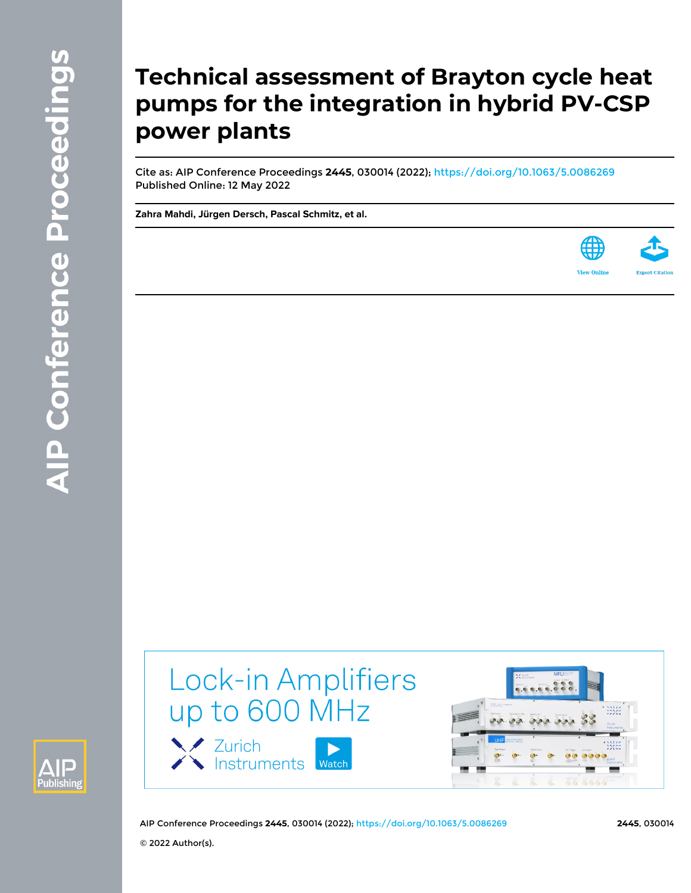# **Technical assessment of Brayton cycle heat pumps for the integration in hybrid PV-CSP power plants**

Cite as: AIP Conference Proceedings **2445**, 030014 (2022); <https://doi.org/10.1063/5.0086269> Published Online: 12 May 2022

**[Zahra Mahdi](https://aip.scitation.org/author/Mahdi%2C+Zahra), [Jürgen Dersch](https://aip.scitation.org/author/Dersch%2C+J%C3%BCrgen), [Pascal Schmitz,](https://aip.scitation.org/author/Schmitz%2C+Pascal) et al.**





Lock-in Amplifiers up to 600 MHz





AIP Conference Proceedings **2445**, 030014 (2022); <https://doi.org/10.1063/5.0086269> **2445**, 030014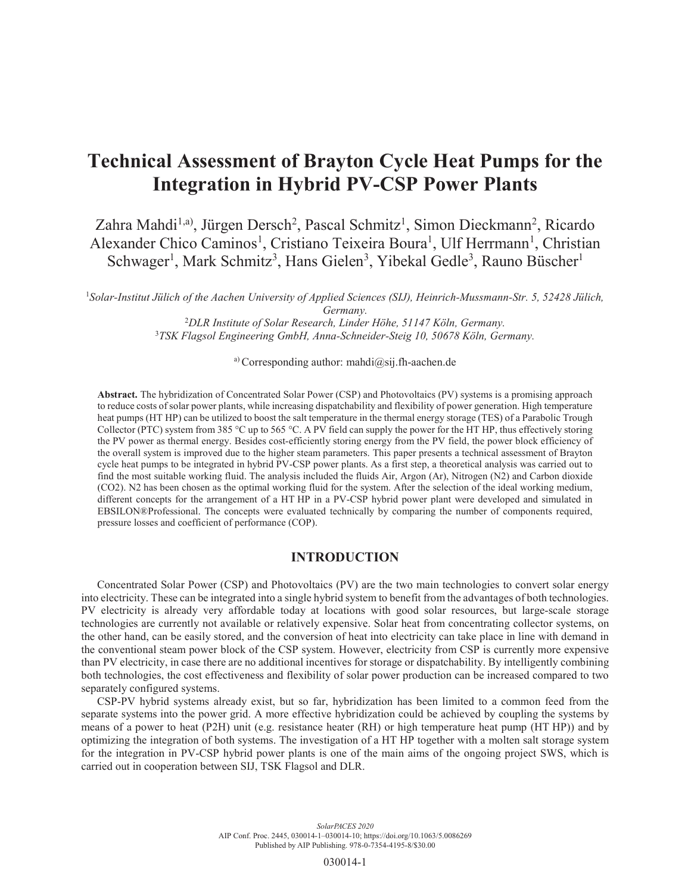# Technical Assessment of Brayton Cycle Heat Pumps for the Integration in Hybrid PV-CSP Power Plants

Zahra Mahdi<sup>1,a)</sup>, Jürgen Dersch<sup>2</sup>, Pascal Schmitz<sup>1</sup>, Simon Dieckmann<sup>2</sup>, Ricardo Alexander Chico Caminos<sup>1</sup>, Cristiano Teixeira Boura<sup>1</sup>, Ulf Herrmann<sup>1</sup>, Christian Schwager<sup>1</sup>, Mark Schmitz<sup>3</sup>, Hans Gielen<sup>3</sup>, Yibekal Gedle<sup>3</sup>, Rauno Büscher<sup>1</sup>

 *Solar-Institut Jülich of the Aachen University of Applied Sciences (SIJ), Heinrich-Mussmann-Str. 5, 52428 Jülich, Germany. DLR Institute of Solar Research, Linder Höhe, 51147 Köln, Germany. TSK Flagsol Engineering GmbH, Anna-Schneider-Steig 10, 50678 Köln, Germany.* 

a) Corresponding author: mahdi $(\partial s$ ij.fh-aachen.de

Abstract. The hybridization of Concentrated Solar Power (CSP) and Photovoltaics (PV) systems is a promising approach to reduce costs of solar power plants, while increasing dispatchability and flexibility of power generation. High temperature heat pumps (HT HP) can be utilized to boost the salt temperature in the thermal energy storage (TES) of a Parabolic Trough Collector (PTC) system from 385 °C up to 565 °C. A PV field can supply the power for the HT HP, thus effectively storing the PV power as thermal energy. Besides cost-efficiently storing energy from the PV field, the power block efficiency of the overall system is improved due to the higher steam parameters. This paper presents a technical assessment of Brayton cycle heat pumps to be integrated in hybrid PV-CSP power plants. As a first step, a theoretical analysis was carried out to find the most suitable working fluid. The analysis included the fluids Air, Argon (Ar), Nitrogen (N2) and Carbon dioxide (CO2). N2 has been chosen as the optimal working fluid for the system. After the selection of the ideal working medium, different concepts for the arrangement of a HT HP in a PV-CSP hybrid power plant were developed and simulated in EBSILON®Professional. The concepts were evaluated technically by comparing the number of components required, pressure losses and coefficient of performance (COP).

# INTRODUCTION

Concentrated Solar Power (CSP) and Photovoltaics (PV) are the two main technologies to convert solar energy into electricity. These can be integrated into a single hybrid system to benefit from the advantages of both technologies. PV electricity is already very affordable today at locations with good solar resources, but large-scale storage technologies are currently not available or relatively expensive. Solar heat from concentrating collector systems, on the other hand, can be easily stored, and the conversion of heat into electricity can take place in line with demand in the conventional steam power block of the CSP system. However, electricity from CSP is currently more expensive than PV electricity, in case there are no additional incentives for storage or dispatchability. By intelligently combining both technologies, the cost effectiveness and flexibility of solar power production can be increased compared to two separately configured systems.

CSP-PV hybrid systems already exist, but so far, hybridization has been limited to a common feed from the separate systems into the power grid. A more effective hybridization could be achieved by coupling the systems by means of a power to heat (P2H) unit (e.g. resistance heater (RH) or high temperature heat pump (HT HP)) and by optimizing the integration of both systems. The investigation of a HT HP together with a molten salt storage system for the integration in PV-CSP hybrid power plants is one of the main aims of the ongoing project SWS, which is carried out in cooperation between SIJ, TSK Flagsol and DLR.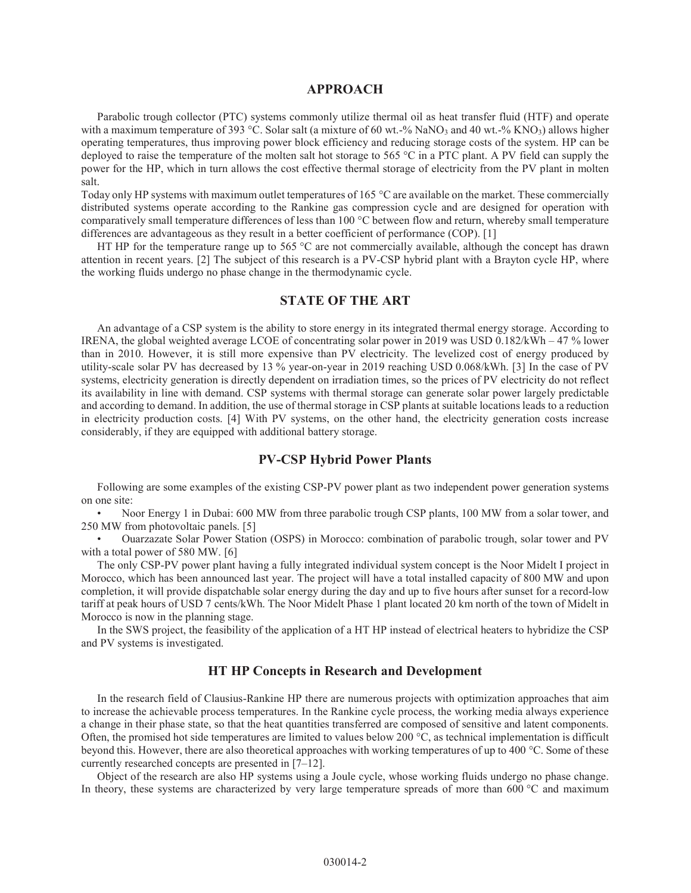#### APPROACH

Parabolic trough collector (PTC) systems commonly utilize thermal oil as heat transfer fluid (HTF) and operate with a maximum temperature of 393 °C. Solar salt (a mixture of 60 wt.-% NaNO3 and 40 wt.-% KNO3) allows higher operating temperatures, thus improving power block efficiency and reducing storage costs of the system. HP can be deployed to raise the temperature of the molten salt hot storage to 565 °C in a PTC plant. A PV field can supply the power for the HP, which in turn allows the cost effective thermal storage of electricity from the PV plant in molten salt.

Today only HP systems with maximum outlet temperatures of 165 °C are available on the market. These commercially distributed systems operate according to the Rankine gas compression cycle and are designed for operation with comparatively small temperature differences of less than 100 °C between flow and return, whereby small temperature differences are advantageous as they result in a better coefficient of performance (COP). [1]

HT HP for the temperature range up to 565  $^{\circ}$ C are not commercially available, although the concept has drawn attention in recent years. [2] The subject of this research is a PV-CSP hybrid plant with a Brayton cycle HP, where the working fluids undergo no phase change in the thermodynamic cycle.

#### STATE OF THE ART

An advantage of a CSP system is the ability to store energy in its integrated thermal energy storage. According to IRENA, the global weighted average LCOE of concentrating solar power in 2019 was USD 0.182/kWh – 47 % lower than in 2010. However, it is still more expensive than PV electricity. The levelized cost of energy produced by utility-scale solar PV has decreased by 13 % year-on-year in 2019 reaching USD 0.068/kWh. [3] In the case of PV systems, electricity generation is directly dependent on irradiation times, so the prices of PV electricity do not reflect its availability in line with demand. CSP systems with thermal storage can generate solar power largely predictable and according to demand. In addition, the use of thermal storage in CSP plants at suitable locations leads to a reduction in electricity production costs. [4] With PV systems, on the other hand, the electricity generation costs increase considerably, if they are equipped with additional battery storage.

# PV-CSP Hybrid Power Plants

Following are some examples of the existing CSP-PV power plant as two independent power generation systems on one site:

• Noor Energy 1 in Dubai: 600 MW from three parabolic trough CSP plants, 100 MW from a solar tower, and 250 MW from photovoltaic panels. [5]

• Ouarzazate Solar Power Station (OSPS) in Morocco: combination of parabolic trough, solar tower and PV with a total power of 580 MW. [6]

The only CSP-PV power plant having a fully integrated individual system concept is the Noor Midelt I project in Morocco, which has been announced last year. The project will have a total installed capacity of 800 MW and upon completion, it will provide dispatchable solar energy during the day and up to five hours after sunset for a record-low tariff at peak hours of USD 7 cents/kWh. The Noor Midelt Phase 1 plant located 20 km north of the town of Midelt in Morocco is now in the planning stage.

In the SWS project, the feasibility of the application of a HT HP instead of electrical heaters to hybridize the CSP and PV systems is investigated.

# HT HP Concepts in Research and Development

In the research field of Clausius-Rankine HP there are numerous projects with optimization approaches that aim to increase the achievable process temperatures. In the Rankine cycle process, the working media always experience a change in their phase state, so that the heat quantities transferred are composed of sensitive and latent components. Often, the promised hot side temperatures are limited to values below 200  $^{\circ}$ C, as technical implementation is difficult beyond this. However, there are also theoretical approaches with working temperatures of up to 400 °C. Some of these currently researched concepts are presented in [7–12].

Object of the research are also HP systems using a Joule cycle, whose working fluids undergo no phase change. In theory, these systems are characterized by very large temperature spreads of more than 600 °C and maximum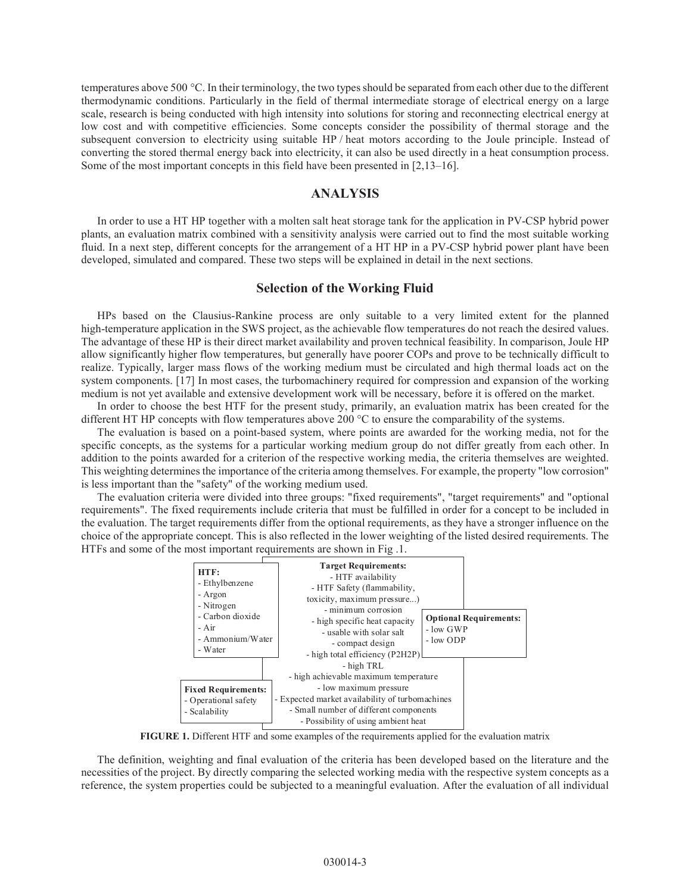temperatures above 500 °C. In their terminology, the two types should be separated from each other due to the different thermodynamic conditions. Particularly in the field of thermal intermediate storage of electrical energy on a large scale, research is being conducted with high intensity into solutions for storing and reconnecting electrical energy at low cost and with competitive efficiencies. Some concepts consider the possibility of thermal storage and the subsequent conversion to electricity using suitable HP / heat motors according to the Joule principle. Instead of converting the stored thermal energy back into electricity, it can also be used directly in a heat consumption process. Some of the most important concepts in this field have been presented in [2,13–16].

#### ANALYSIS

In order to use a HT HP together with a molten salt heat storage tank for the application in PV-CSP hybrid power plants, an evaluation matrix combined with a sensitivity analysis were carried out to find the most suitable working fluid. In a next step, different concepts for the arrangement of a HT HP in a PV-CSP hybrid power plant have been developed, simulated and compared. These two steps will be explained in detail in the next sections.

#### Selection of the Working Fluid

HPs based on the Clausius-Rankine process are only suitable to a very limited extent for the planned high-temperature application in the SWS project, as the achievable flow temperatures do not reach the desired values. The advantage of these HP is their direct market availability and proven technical feasibility. In comparison, Joule HP allow significantly higher flow temperatures, but generally have poorer COPs and prove to be technically difficult to realize. Typically, larger mass flows of the working medium must be circulated and high thermal loads act on the system components. [17] In most cases, the turbomachinery required for compression and expansion of the working medium is not yet available and extensive development work will be necessary, before it is offered on the market.

In order to choose the best HTF for the present study, primarily, an evaluation matrix has been created for the different HT HP concepts with flow temperatures above 200 °C to ensure the comparability of the systems.

The evaluation is based on a point-based system, where points are awarded for the working media, not for the specific concepts, as the systems for a particular working medium group do not differ greatly from each other. In addition to the points awarded for a criterion of the respective working media, the criteria themselves are weighted. This weighting determines the importance of the criteria among themselves. For example, the property "low corrosion" is less important than the "safety" of the working medium used.

The evaluation criteria were divided into three groups: "fixed requirements", "target requirements" and "optional requirements". The fixed requirements include criteria that must be fulfilled in order for a concept to be included in the evaluation. The target requirements differ from the optional requirements, as they have a stronger influence on the choice of the appropriate concept. This is also reflected in the lower weighting of the listed desired requirements. The HTFs and some of the most important requirements are shown in Fig .1.



FIGURE 1. Different HTF and some examples of the requirements applied for the evaluation matrix

The definition, weighting and final evaluation of the criteria has been developed based on the literature and the necessities of the project. By directly comparing the selected working media with the respective system concepts as a reference, the system properties could be subjected to a meaningful evaluation. After the evaluation of all individual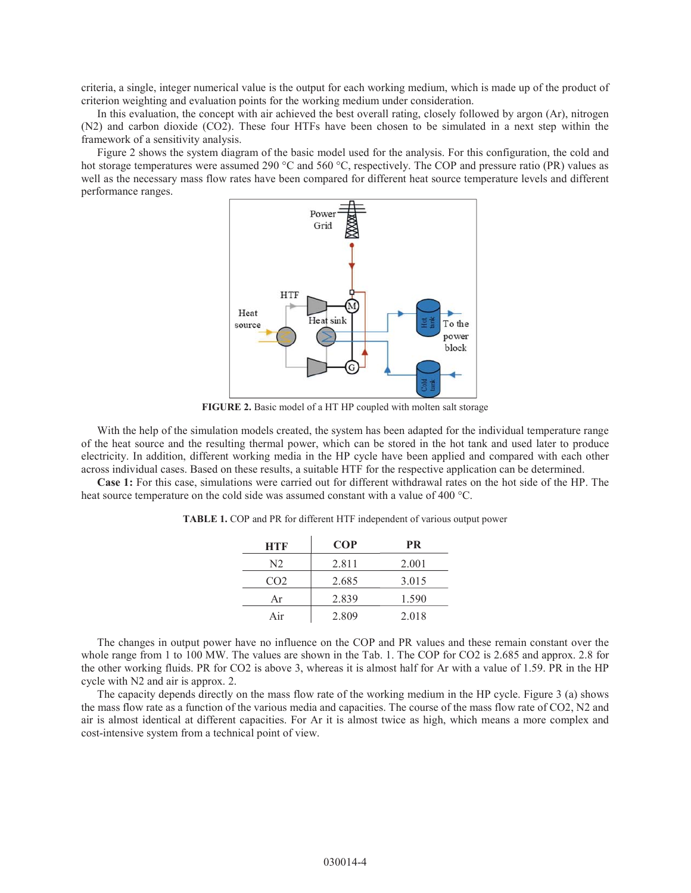criteria, a single, integer numerical value is the output for each working medium, which is made up of the product of criterion weighting and evaluation points for the working medium under consideration.

In this evaluation, the concept with air achieved the best overall rating, closely followed by argon (Ar), nitrogen (N2) and carbon dioxide (CO2). These four HTFs have been chosen to be simulated in a next step within the framework of a sensitivity analysis.

Figure 2 shows the system diagram of the basic model used for the analysis. For this configuration, the cold and hot storage temperatures were assumed 290 °C and 560 °C, respectively. The COP and pressure ratio (PR) values as well as the necessary mass flow rates have been compared for different heat source temperature levels and different performance ranges.



FIGURE 2. Basic model of a HT HP coupled with molten salt storage

With the help of the simulation models created, the system has been adapted for the individual temperature range of the heat source and the resulting thermal power, which can be stored in the hot tank and used later to produce electricity. In addition, different working media in the HP cycle have been applied and compared with each other across individual cases. Based on these results, a suitable HTF for the respective application can be determined.

Case 1: For this case, simulations were carried out for different withdrawal rates on the hot side of the HP. The heat source temperature on the cold side was assumed constant with a value of 400 °C.

| HTF             | <b>COP</b> | <b>PR</b> |
|-----------------|------------|-----------|
| N2              | 2.811      | 2.001     |
| CO <sub>2</sub> | 2.685      | 3.015     |
| Ar              | 2.839      | 1.590     |
| Air             | 2.809      | 2.018     |

TABLE 1. COP and PR for different HTF independent of various output power

The changes in output power have no influence on the COP and PR values and these remain constant over the whole range from 1 to 100 MW. The values are shown in the Tab. 1. The COP for CO2 is 2.685 and approx. 2.8 for the other working fluids. PR for CO2 is above 3, whereas it is almost half for Ar with a value of 1.59. PR in the HP cycle with N2 and air is approx. 2.

The capacity depends directly on the mass flow rate of the working medium in the HP cycle. Figure 3 (a) shows the mass flow rate as a function of the various media and capacities. The course of the mass flow rate of CO2, N2 and air is almost identical at different capacities. For Ar it is almost twice as high, which means a more complex and cost-intensive system from a technical point of view.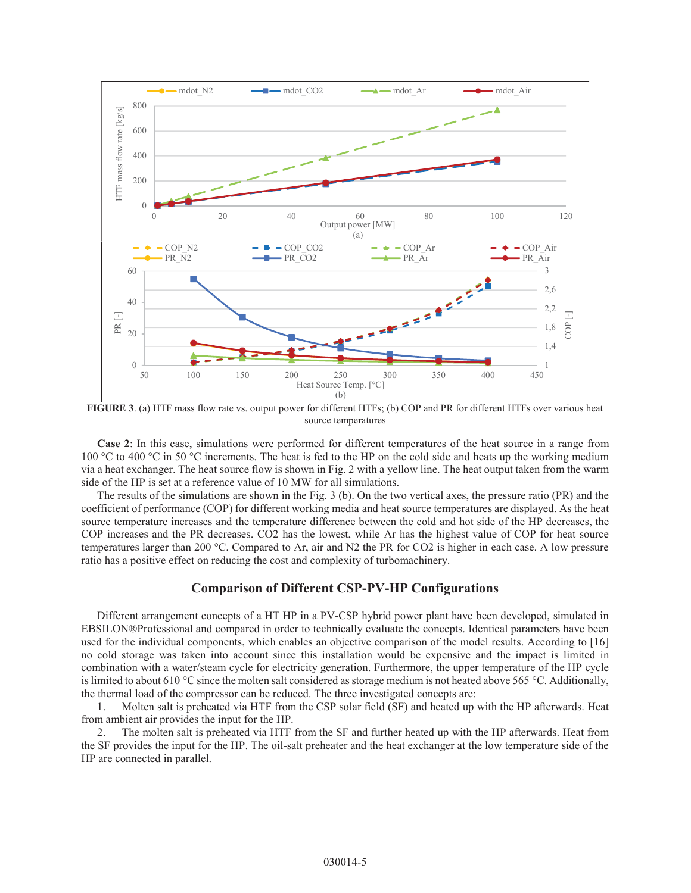

FIGURE 3. (a) HTF mass flow rate vs. output power for different HTFs; (b) COP and PR for different HTFs over various heat source temperatures

Case 2: In this case, simulations were performed for different temperatures of the heat source in a range from 100 °C to 400 °C in 50 °C increments. The heat is fed to the HP on the cold side and heats up the working medium via a heat exchanger. The heat source flow is shown in Fig. 2 with a yellow line. The heat output taken from the warm side of the HP is set at a reference value of 10 MW for all simulations.

The results of the simulations are shown in the Fig. 3 (b). On the two vertical axes, the pressure ratio (PR) and the coefficient of performance (COP) for different working media and heat source temperatures are displayed. As the heat source temperature increases and the temperature difference between the cold and hot side of the HP decreases, the COP increases and the PR decreases. CO2 has the lowest, while Ar has the highest value of COP for heat source temperatures larger than 200 °C. Compared to Ar, air and N2 the PR for CO2 is higher in each case. A low pressure ratio has a positive effect on reducing the cost and complexity of turbomachinery.

# Comparison of Different CSP-PV-HP Configurations

Different arrangement concepts of a HT HP in a PV-CSP hybrid power plant have been developed, simulated in EBSILON®Professional and compared in order to technically evaluate the concepts. Identical parameters have been used for the individual components, which enables an objective comparison of the model results. According to [16] no cold storage was taken into account since this installation would be expensive and the impact is limited in combination with a water/steam cycle for electricity generation. Furthermore, the upper temperature of the HP cycle is limited to about 610 °C since the molten salt considered as storage medium is not heated above 565 °C. Additionally, the thermal load of the compressor can be reduced. The three investigated concepts are:

1. Molten salt is preheated via HTF from the CSP solar field (SF) and heated up with the HP afterwards. Heat from ambient air provides the input for the HP.

2. The molten salt is preheated via HTF from the SF and further heated up with the HP afterwards. Heat from the SF provides the input for the HP. The oil-salt preheater and the heat exchanger at the low temperature side of the HP are connected in parallel.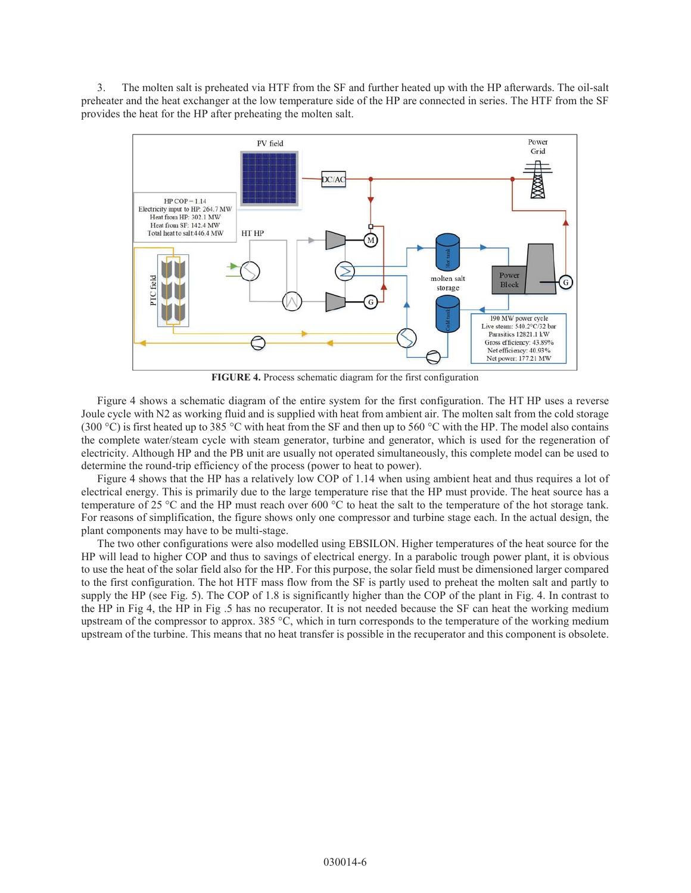3. The molten salt is preheated via HTF from the SF and further heated up with the HP afterwards. The oil-salt preheater and the heat exchanger at the low temperature side of the HP are connected in series. The HTF from the SF provides the heat for the HP after preheating the molten salt.



FIGURE 4. Process schematic diagram for the first configuration

Figure 4 shows a schematic diagram of the entire system for the first configuration. The HT HP uses a reverse Joule cycle with N2 as working fluid and is supplied with heat from ambient air. The molten salt from the cold storage (300 °C) is first heated up to 385 °C with heat from the SF and then up to 560 °C with the HP. The model also contains the complete water/steam cycle with steam generator, turbine and generator, which is used for the regeneration of electricity. Although HP and the PB unit are usually not operated simultaneously, this complete model can be used to determine the round-trip efficiency of the process (power to heat to power).

Figure 4 shows that the HP has a relatively low COP of 1.14 when using ambient heat and thus requires a lot of electrical energy. This is primarily due to the large temperature rise that the HP must provide. The heat source has a temperature of 25 °C and the HP must reach over 600 °C to heat the salt to the temperature of the hot storage tank. For reasons of simplification, the figure shows only one compressor and turbine stage each. In the actual design, the plant components may have to be multi-stage.

The two other configurations were also modelled using EBSILON. Higher temperatures of the heat source for the HP will lead to higher COP and thus to savings of electrical energy. In a parabolic trough power plant, it is obvious to use the heat of the solar field also for the HP. For this purpose, the solar field must be dimensioned larger compared to the first configuration. The hot HTF mass flow from the SF is partly used to preheat the molten salt and partly to supply the HP (see Fig. 5). The COP of 1.8 is significantly higher than the COP of the plant in Fig. 4. In contrast to the HP in Fig 4, the HP in Fig .5 has no recuperator. It is not needed because the SF can heat the working medium upstream of the compressor to approx. 385 °C, which in turn corresponds to the temperature of the working medium upstream of the turbine. This means that no heat transfer is possible in the recuperator and this component is obsolete.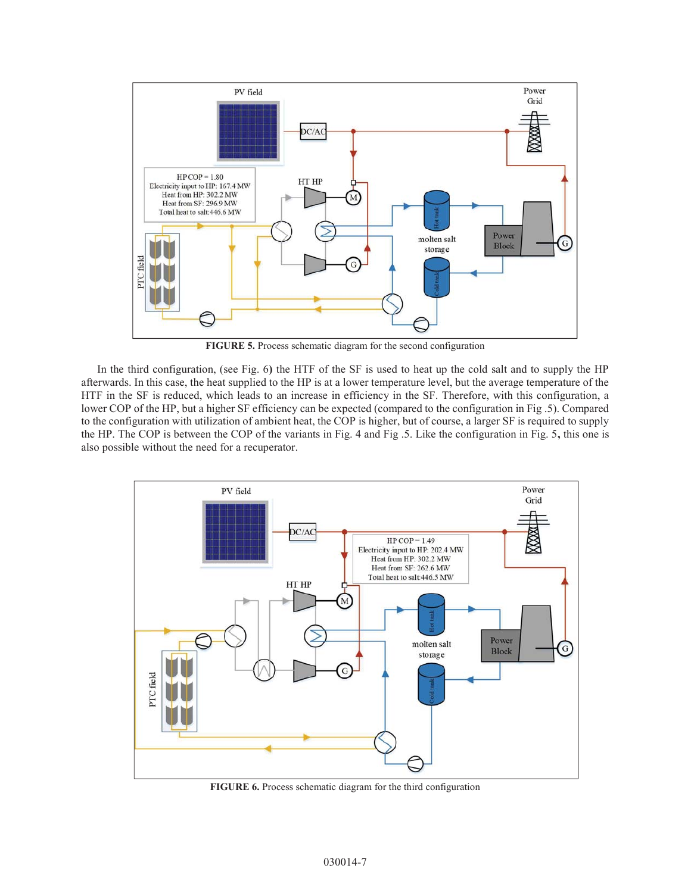

FIGURE 5. Process schematic diagram for the second configuration

In the third configuration, (see Fig. 6) the HTF of the SF is used to heat up the cold salt and to supply the HP afterwards. In this case, the heat supplied to the HP is at a lower temperature level, but the average temperature of the HTF in the SF is reduced, which leads to an increase in efficiency in the SF. Therefore, with this configuration, a lower COP of the HP, but a higher SF efficiency can be expected (compared to the configuration in Fig .5). Compared to the configuration with utilization of ambient heat, the COP is higher, but of course, a larger SF is required to supply the HP. The COP is between the COP of the variants in Fig. 4 and Fig .5. Like the configuration in Fig. 5, this one is also possible without the need for a recuperator.



FIGURE 6. Process schematic diagram for the third configuration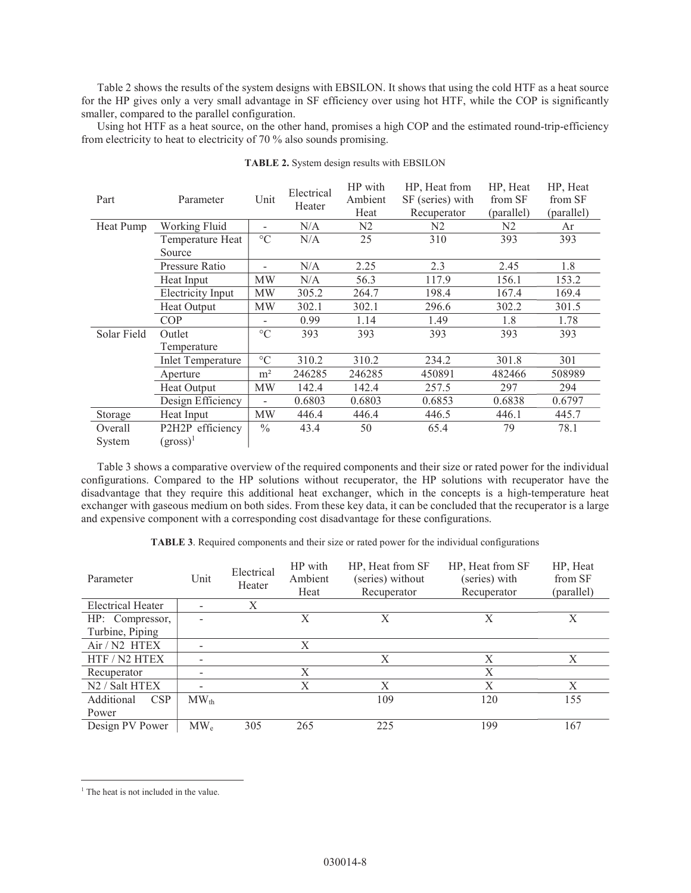Table 2 shows the results of the system designs with EBSILON. It shows that using the cold HTF as a heat source for the HP gives only a very small advantage in SF efficiency over using hot HTF, while the COP is significantly smaller, compared to the parallel configuration.

Using hot HTF as a heat source, on the other hand, promises a high COP and the estimated round-trip-efficiency from electricity to heat to electricity of 70 % also sounds promising.

| Part        | Parameter                | Unit                     | Electrical<br>Heater | HP with        | HP, Heat from    | HP, Heat       | HP, Heat   |
|-------------|--------------------------|--------------------------|----------------------|----------------|------------------|----------------|------------|
|             |                          |                          |                      | Ambient        | SF (series) with | from SF        | from SF    |
|             |                          |                          |                      | Heat           | Recuperator      | (parallel)     | (parallel) |
| Heat Pump   | Working Fluid            | ٠                        | N/A                  | N <sub>2</sub> | N <sub>2</sub>   | N <sub>2</sub> | Ar         |
|             | Temperature Heat         | $\rm ^{\circ}C$          | N/A                  | 25             | 310              | 393            | 393        |
|             | Source                   |                          |                      |                |                  |                |            |
|             | Pressure Ratio           |                          | N/A                  | 2.25           | 2.3              | 2.45           | 1.8        |
|             | Heat Input               | MW                       | N/A                  | 56.3           | 117.9            | 156.1          | 153.2      |
|             | <b>Electricity Input</b> | MW                       | 305.2                | 264.7          | 198.4            | 167.4          | 169.4      |
|             | Heat Output              | MW                       | 302.1                | 302.1          | 296.6            | 302.2          | 301.5      |
|             | COP                      |                          | 0.99                 | 1.14           | 1.49             | 1.8            | 1.78       |
| Solar Field | Outlet                   | $\rm ^{\circ}C$          | 393                  | 393            | 393              | 393            | 393        |
|             | Temperature              |                          |                      |                |                  |                |            |
|             | <b>Inlet Temperature</b> | $\rm ^{\circ}C$          | 310.2                | 310.2          | 234.2            | 301.8          | 301        |
|             | Aperture                 | m <sup>2</sup>           | 246285               | 246285         | 450891           | 482466         | 508989     |
|             | Heat Output              | MW                       | 142.4                | 142.4          | 257.5            | 297            | 294        |
|             | Design Efficiency        | $\overline{\phantom{0}}$ | 0.6803               | 0.6803         | 0.6853           | 0.6838         | 0.6797     |
| Storage     | Heat Input               | MW                       | 446.4                | 446.4          | 446.5            | 446.1          | 445.7      |
| Overall     | P2H2P efficiency         | $\frac{0}{0}$            | 43.4                 | 50             | 65.4             | 79             | 78.1       |
| System      | $(gross)^1$              |                          |                      |                |                  |                |            |

TABLE 2. System design results with EBSILON

Table 3 shows a comparative overview of the required components and their size or rated power for the individual configurations. Compared to the HP solutions without recuperator, the HP solutions with recuperator have the disadvantage that they require this additional heat exchanger, which in the concepts is a high-temperature heat exchanger with gaseous medium on both sides. From these key data, it can be concluded that the recuperator is a large and expensive component with a corresponding cost disadvantage for these configurations.

TABLE 3. Required components and their size or rated power for the individual configurations

| Parameter                | Unit                    | Electrical<br>Heater | HP with<br>Ambient<br>Heat | HP, Heat from SF<br>(series) without<br>Recuperator | HP, Heat from SF<br>(series) with<br>Recuperator | HP, Heat<br>from SF<br>(parallel) |
|--------------------------|-------------------------|----------------------|----------------------------|-----------------------------------------------------|--------------------------------------------------|-----------------------------------|
| <b>Electrical Heater</b> |                         | Χ                    |                            |                                                     |                                                  |                                   |
| HP: Compressor,          |                         |                      | X                          | X                                                   | X                                                | X                                 |
| Turbine, Piping          |                         |                      |                            |                                                     |                                                  |                                   |
| Air / N2 HTEX            |                         |                      | Χ                          |                                                     |                                                  |                                   |
| HTF / N2 HTEX            |                         |                      |                            | Χ                                                   | X                                                | Х                                 |
| Recuperator              |                         |                      | X                          |                                                     | Χ                                                |                                   |
| N2 / Salt HTEX           |                         |                      | X                          | X                                                   | X                                                | X                                 |
| Additional<br><b>CSP</b> | $\text{MW}_{\text{th}}$ |                      |                            | 109                                                 | 120                                              | 155                               |
| Power                    |                         |                      |                            |                                                     |                                                  |                                   |
| Design PV Power          | $\text{MW}_\text{e}$    | 305                  | 265                        | 225                                                 | 199                                              | 167                               |

 $\overline{a}$ 

<sup>&</sup>lt;sup>1</sup> The heat is not included in the value.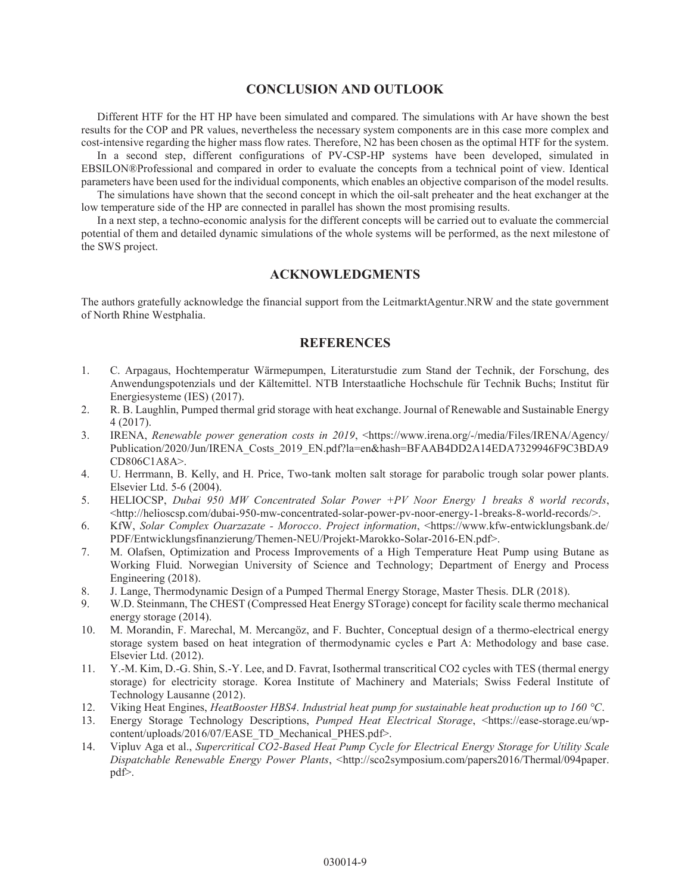#### CONCLUSION AND OUTLOOK

Different HTF for the HT HP have been simulated and compared. The simulations with Ar have shown the best results for the COP and PR values, nevertheless the necessary system components are in this case more complex and cost-intensive regarding the higher mass flow rates. Therefore, N2 has been chosen as the optimal HTF for the system.

In a second step, different configurations of PV-CSP-HP systems have been developed, simulated in EBSILON®Professional and compared in order to evaluate the concepts from a technical point of view. Identical parameters have been used for the individual components, which enables an objective comparison of the model results.

The simulations have shown that the second concept in which the oil-salt preheater and the heat exchanger at the low temperature side of the HP are connected in parallel has shown the most promising results.

In a next step, a techno-economic analysis for the different concepts will be carried out to evaluate the commercial potential of them and detailed dynamic simulations of the whole systems will be performed, as the next milestone of the SWS project.

# ACKNOWLEDGMENTS

The authors gratefully acknowledge the financial support from the LeitmarktAgentur.NRW and the state government of North Rhine Westphalia.

# **REFERENCES**

- 1. C. Arpagaus, Hochtemperatur Wärmepumpen, Literaturstudie zum Stand der Technik, der Forschung, des Anwendungspotenzials und der Kältemittel. NTB Interstaatliche Hochschule für Technik Buchs; Institut für Energiesysteme (IES) (2017).
- 2. R. B. Laughlin, Pumped thermal grid storage with heat exchange. Journal of Renewable and Sustainable Energy 4 (2017).
- 3. IRENA, *Renewable power generation costs in 2019*, <https://www.irena.org/-/media/Files/IRENA/Agency/ Publication/2020/Jun/IRENA\_Costs\_2019\_EN.pdf?la=en&hash=BFAAB4DD2A14EDA7329946F9C3BDA9 CD806C1A8A>.
- 4. U. Herrmann, B. Kelly, and H. Price, Two-tank molten salt storage for parabolic trough solar power plants. Elsevier Ltd. 5-6 (2004).
- 5. HELIOCSP, *Dubai 950 MW Concentrated Solar Power +PV Noor Energy 1 breaks 8 world records*,  $\langle$ http://helioscsp.com/dubai-950-mw-concentrated-solar-power-pv-noor-energy-1-breaks-8-world-records/>.
- 6. KfW, *Solar Complex Ouarzazate Morocco*. *Project information*, <https://www.kfw-entwicklungsbank.de/ PDF/Entwicklungsfinanzierung/Themen-NEU/Projekt-Marokko-Solar-2016-EN.pdf>.
- 7. M. Olafsen, Optimization and Process Improvements of a High Temperature Heat Pump using Butane as Working Fluid. Norwegian University of Science and Technology; Department of Energy and Process Engineering (2018).
- 8. J. Lange, Thermodynamic Design of a Pumped Thermal Energy Storage, Master Thesis. DLR (2018).
- 9. W.D. Steinmann, The CHEST (Compressed Heat Energy STorage) concept for facility scale thermo mechanical energy storage (2014).
- 10. M. Morandin, F. Marechal, M. Mercangöz, and F. Buchter, Conceptual design of a thermo-electrical energy storage system based on heat integration of thermodynamic cycles e Part A: Methodology and base case. Elsevier Ltd. (2012).
- 11. Y.-M. Kim, D.-G. Shin, S.-Y. Lee, and D. Favrat, Isothermal transcritical CO2 cycles with TES (thermal energy storage) for electricity storage. Korea Institute of Machinery and Materials; Swiss Federal Institute of Technology Lausanne (2012).
- 12. Viking Heat Engines, *HeatBooster HBS4*. *Industrial heat pump for sustainable heat production up to 160 °C*.
- 13. Energy Storage Technology Descriptions, *Pumped Heat Electrical Storage*, <https://ease-storage.eu/wpcontent/uploads/2016/07/EASE\_TD\_Mechanical\_PHES.pdf>.
- 14. Vipluv Aga et al., *Supercritical CO2-Based Heat Pump Cycle for Electrical Energy Storage for Utility Scale Dispatchable Renewable Energy Power Plants*, <http://sco2symposium.com/papers2016/Thermal/094paper. pdf>.